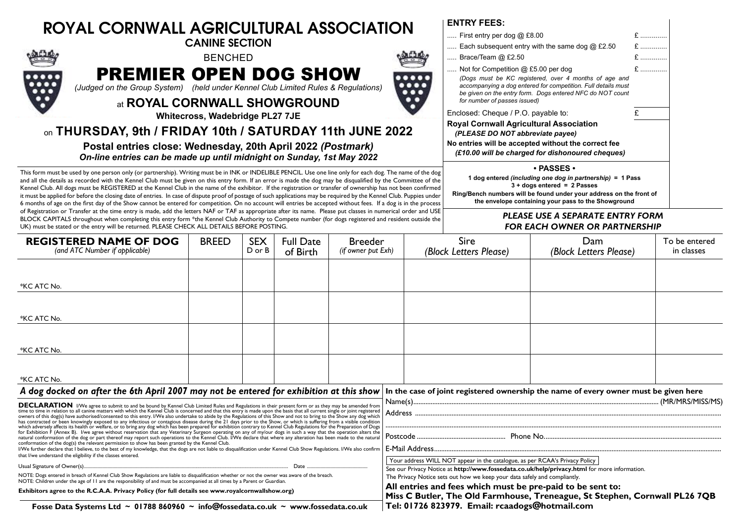| <b>ROYAL CORNWALL AGRICULTURAL ASSOCIATION</b>                                                                                                                                                                                                                  | ENIRY FEES:                                                                                                          |
|-----------------------------------------------------------------------------------------------------------------------------------------------------------------------------------------------------------------------------------------------------------------|----------------------------------------------------------------------------------------------------------------------|
| <b>CANINE SECTION</b>                                                                                                                                                                                                                                           | First entry per dog                                                                                                  |
| <b>BENCHED</b>                                                                                                                                                                                                                                                  | Each subsequent e                                                                                                    |
| <b>PREMIER OPEN DOG SHOW</b>                                                                                                                                                                                                                                    | Brace/Team @ £2.                                                                                                     |
| W                                                                                                                                                                                                                                                               | Not for Competition                                                                                                  |
|                                                                                                                                                                                                                                                                 | (Dogs must be KC                                                                                                     |
| $\bullet\bullet\bullet\bullet$                                                                                                                                                                                                                                  | accompanying a dog                                                                                                   |
| (Judged on the Group System) (held under Kennel Club Limited Rules & Regulations)<br>$\bullet\bullet\bullet$<br>$\bullet\bullet$<br>at ROYAL CORNWALL SHOWGROUND<br>Whitecross, Wadebridge PL27 7JE<br>on THURSDAY, 9th / FRIDAY 10th / SATURDAY 11th JUNE 2022 | be given on the entry<br>for number of passes<br>Enclosed: Cheque / F<br><b>Royal Cornwall Agı</b><br>(PLEASE DO NOT |
| Postal entries close: Wednesday, 20th April 2022 (Postmark)                                                                                                                                                                                                     | No entries will be ace                                                                                               |
| On-line entries can be made up until midnight on Sunday, 1st May 2022                                                                                                                                                                                           | (£10.00 will be cha                                                                                                  |

This form must be used by one person only (or partnership). Writing must be in INK or INDELIBLE PENCIL. Use one line only for each dog. The name of the dog and all the details as recorded with the Kennel Club must be given on this entry form. If an error is made the dog may be disqualified by the Committee of the Kennel Club. All dogs must be REGISTERED at the Kennel Club in the name of the exhibitor. If the registration or transfer of ownership has not been confirmed it must be applied for before the closing date of entries. In case of dispute proof of postage of such applications may be required by the Kennel Club. Puppies under 6 months of age on the first day of the Show cannot be entered for competition. On no account will entries be accepted without fees. If a dog is in the process of Registration or Transfer at the time entry is made, add the letters NAF or TAF as appropriate after its name. Please put classes in numerical order and USE BLOCK CAPITALS throughout when completing this entry form \*the Kennel Club Authority to Compete number (for dogs registered and resident outside the UK) must be stated or the entry will be returned. PLEASE CHECK ALL DETAILS BEFORE POSTING.

**ENTRY FEES:**

| First entry per dog @ £8.00                                                                                                                                                                                                                                |                               |  |  |  |  |  |  |
|------------------------------------------------------------------------------------------------------------------------------------------------------------------------------------------------------------------------------------------------------------|-------------------------------|--|--|--|--|--|--|
| Each subsequent entry with the same dog $@$ £2.50                                                                                                                                                                                                          | $\mathbf{f}$ and $\mathbf{f}$ |  |  |  |  |  |  |
| Brace/Team $@$ £2.50                                                                                                                                                                                                                                       | £<br>$\sim$                   |  |  |  |  |  |  |
| Not for Competition @ £5.00 per dog<br>(Dogs must be KC registered, over 4 months of age and<br>accompanying a dog entered for competition. Full details must<br>be given on the entry form. Dogs entered NFC do NOT count<br>for number of passes issued) | $E$                           |  |  |  |  |  |  |
| Enclosed: Cheque / P.O. payable to:                                                                                                                                                                                                                        | £                             |  |  |  |  |  |  |
| <b>Royal Cornwall Agricultural Association</b><br>(PLEASE DO NOT abbreviate payee)<br>No entries will be accepted without the correct fee<br>(£10.00 will be charged for dishonoured cheques)                                                              |                               |  |  |  |  |  |  |
| $\boldsymbol{\cdot}$ PASSES $\boldsymbol{\cdot}$                                                                                                                                                                                                           |                               |  |  |  |  |  |  |
| 1 dog entered (including one dog in partnership) = 1 Pass<br>$3 +$ dogs entered = 2 Passes                                                                                                                                                                 |                               |  |  |  |  |  |  |
| Ring/Bench numbers will be found under your address on the front of                                                                                                                                                                                        |                               |  |  |  |  |  |  |

**the envelope containing your pass to the Showground**

## *PLEASE USE A SEPARATE ENTRY FORM FOR EACH OWNER OR PARTNERSHIP*

| <b>REGISTERED NAME OF DOG</b><br>(and ATC Number if applicable)                                                                                                                                                                                                                                                                                                                                                                                                                                                                                                                                                                                                                                                                                                                                                                                                                                                                                                                                                                                                                                                                                         | <b>BREED</b> | <b>SEX</b><br>D or B | <b>Full Date</b><br>of Birth | <b>Breeder</b><br>(if owner put Exh) |                                                                                                                                                                             | Sire<br>(Block Letters Please)                                                                                                           | Dam<br>(Block Letters Please) | To be entered<br>in classes |  |
|---------------------------------------------------------------------------------------------------------------------------------------------------------------------------------------------------------------------------------------------------------------------------------------------------------------------------------------------------------------------------------------------------------------------------------------------------------------------------------------------------------------------------------------------------------------------------------------------------------------------------------------------------------------------------------------------------------------------------------------------------------------------------------------------------------------------------------------------------------------------------------------------------------------------------------------------------------------------------------------------------------------------------------------------------------------------------------------------------------------------------------------------------------|--------------|----------------------|------------------------------|--------------------------------------|-----------------------------------------------------------------------------------------------------------------------------------------------------------------------------|------------------------------------------------------------------------------------------------------------------------------------------|-------------------------------|-----------------------------|--|
| *KC ATC No.                                                                                                                                                                                                                                                                                                                                                                                                                                                                                                                                                                                                                                                                                                                                                                                                                                                                                                                                                                                                                                                                                                                                             |              |                      |                              |                                      |                                                                                                                                                                             |                                                                                                                                          |                               |                             |  |
| *KC ATC No.                                                                                                                                                                                                                                                                                                                                                                                                                                                                                                                                                                                                                                                                                                                                                                                                                                                                                                                                                                                                                                                                                                                                             |              |                      |                              |                                      |                                                                                                                                                                             |                                                                                                                                          |                               |                             |  |
| *KC ATC No.                                                                                                                                                                                                                                                                                                                                                                                                                                                                                                                                                                                                                                                                                                                                                                                                                                                                                                                                                                                                                                                                                                                                             |              |                      |                              |                                      |                                                                                                                                                                             |                                                                                                                                          |                               |                             |  |
| *KC ATC No.                                                                                                                                                                                                                                                                                                                                                                                                                                                                                                                                                                                                                                                                                                                                                                                                                                                                                                                                                                                                                                                                                                                                             |              |                      |                              |                                      |                                                                                                                                                                             |                                                                                                                                          |                               |                             |  |
| A dog docked on after the 6th April 2007 may not be entered for exhibition at this show<br><b>DECLARATION</b> I/We agree to submit to and be bound by Kennel Club Limited Rules and Regulations in their present form or as they may be amended from<br>time to time in relation to all canine matters with which the Kennel Club is concerned and that this entry is made upon the basis that all current single or joint registered                                                                                                                                                                                                                                                                                                                                                                                                                                                                                                                                                                                                                                                                                                                   |              |                      |                              |                                      | In the case of joint registered ownership the name of every owner must be given here                                                                                        |                                                                                                                                          |                               |                             |  |
| owners of this dog(s) have authorised/consented to this entry. I/We also undertake to abide by the Regulations of this Show and not to bring to the Show any dog which<br>has contracted or been knowingly exposed to any infectious or contagious disease during the 21 days prior to the Show, or which is suffering from a visible condition<br>which adversely affects its health or welfare, or to bring any dog which has been prepared for exhibition contrary to Kennel Club Regulations for the Preparation of Dogs<br>for Exhibition F (Annex B). I/we agree without reservation that any Veterinary Surgeon operating on any of my/our dogs in such a way that the operation alters the<br>natural conformation of the dog or part thereof may report such operations to the Kennel Club. I/We declare that where any alteration has been made to the natural<br>conformation of the dog(s) the relevant permission to show has been granted by the Kennel Club.<br>I/We further declare that I believe, to the best of my knowledge, that the dogs are not liable to disqualification under Kennel Club Show Regulations. I/We also confirm |              |                      |                              |                                      |                                                                                                                                                                             |                                                                                                                                          |                               |                             |  |
| that I/we understand the eligibility if the classes entered.<br>Date<br>Usual Signature of Owner(s)                                                                                                                                                                                                                                                                                                                                                                                                                                                                                                                                                                                                                                                                                                                                                                                                                                                                                                                                                                                                                                                     |              |                      |                              |                                      | Your address WILL NOT appear in the catalogue, as per RCAA's Privacy Policy<br>See our Privacy Notice at http://www.fossedata.co.uk/help/privacy.html for more information. |                                                                                                                                          |                               |                             |  |
| NOTE: Dogs entered in breach of Kennel Club Show Regulations are liable to disqualification whether or not the owner was aware of the breach.<br>NOTE: Children under the age of II are the responsibility of and must be accompanied at all times by a Parent or Guardian.                                                                                                                                                                                                                                                                                                                                                                                                                                                                                                                                                                                                                                                                                                                                                                                                                                                                             |              |                      |                              |                                      | The Privacy Notice sets out how we keep your data safely and compliantly.                                                                                                   |                                                                                                                                          |                               |                             |  |
| Exhibitors agree to the R.C.A.A. Privacy Policy (for full details see www.royalcornwallshow.org)                                                                                                                                                                                                                                                                                                                                                                                                                                                                                                                                                                                                                                                                                                                                                                                                                                                                                                                                                                                                                                                        |              |                      |                              |                                      |                                                                                                                                                                             | All entries and fees which must be pre-paid to be sent to:<br>Miss C Butler, The Old Farmhouse, Treneague, St Stephen, Cornwall PL26 7QB |                               |                             |  |
| Fosse Data Systems Ltd $\sim$ 01788 860960 $\sim$ info@fossedata.co.uk $\sim$ www.fossedata.co.uk                                                                                                                                                                                                                                                                                                                                                                                                                                                                                                                                                                                                                                                                                                                                                                                                                                                                                                                                                                                                                                                       |              |                      |                              |                                      |                                                                                                                                                                             | Tel: 01726 823979. Email: rcaadogs@hotmail.com                                                                                           |                               |                             |  |

**Fosse Data Systems Ltd ~ 01788 860960 ~ info@fossedata.co.uk ~ www.fossedata.co.uk**